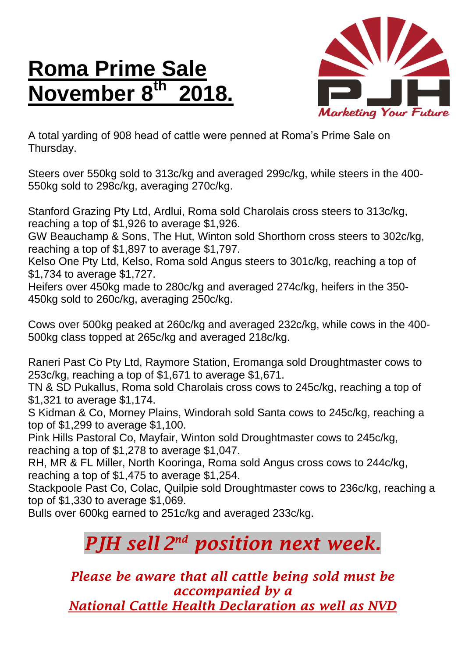## **Roma Prime Sale November 8 th 2018.**



A total yarding of 908 head of cattle were penned at Roma's Prime Sale on Thursday.

Steers over 550kg sold to 313c/kg and averaged 299c/kg, while steers in the 400- 550kg sold to 298c/kg, averaging 270c/kg.

Stanford Grazing Pty Ltd, Ardlui, Roma sold Charolais cross steers to 313c/kg, reaching a top of \$1,926 to average \$1,926.

GW Beauchamp & Sons, The Hut, Winton sold Shorthorn cross steers to 302c/kg, reaching a top of \$1,897 to average \$1,797.

Kelso One Pty Ltd, Kelso, Roma sold Angus steers to 301c/kg, reaching a top of \$1,734 to average \$1,727.

Heifers over 450kg made to 280c/kg and averaged 274c/kg, heifers in the 350- 450kg sold to 260c/kg, averaging 250c/kg.

Cows over 500kg peaked at 260c/kg and averaged 232c/kg, while cows in the 400- 500kg class topped at 265c/kg and averaged 218c/kg.

Raneri Past Co Pty Ltd, Raymore Station, Eromanga sold Droughtmaster cows to 253c/kg, reaching a top of \$1,671 to average \$1,671.

TN & SD Pukallus, Roma sold Charolais cross cows to 245c/kg, reaching a top of \$1,321 to average \$1,174.

S Kidman & Co, Morney Plains, Windorah sold Santa cows to 245c/kg, reaching a top of \$1,299 to average \$1,100.

Pink Hills Pastoral Co, Mayfair, Winton sold Droughtmaster cows to 245c/kg, reaching a top of \$1,278 to average \$1,047.

RH, MR & FL Miller, North Kooringa, Roma sold Angus cross cows to 244c/kg, reaching a top of \$1,475 to average \$1,254.

Stackpoole Past Co, Colac, Quilpie sold Droughtmaster cows to 236c/kg, reaching a top of \$1,330 to average \$1,069.

Bulls over 600kg earned to 251c/kg and averaged 233c/kg.

## *PJH sell 2 nd position next week.*

*Please be aware that all cattle being sold must be accompanied by a National Cattle Health Declaration as well as NVD*